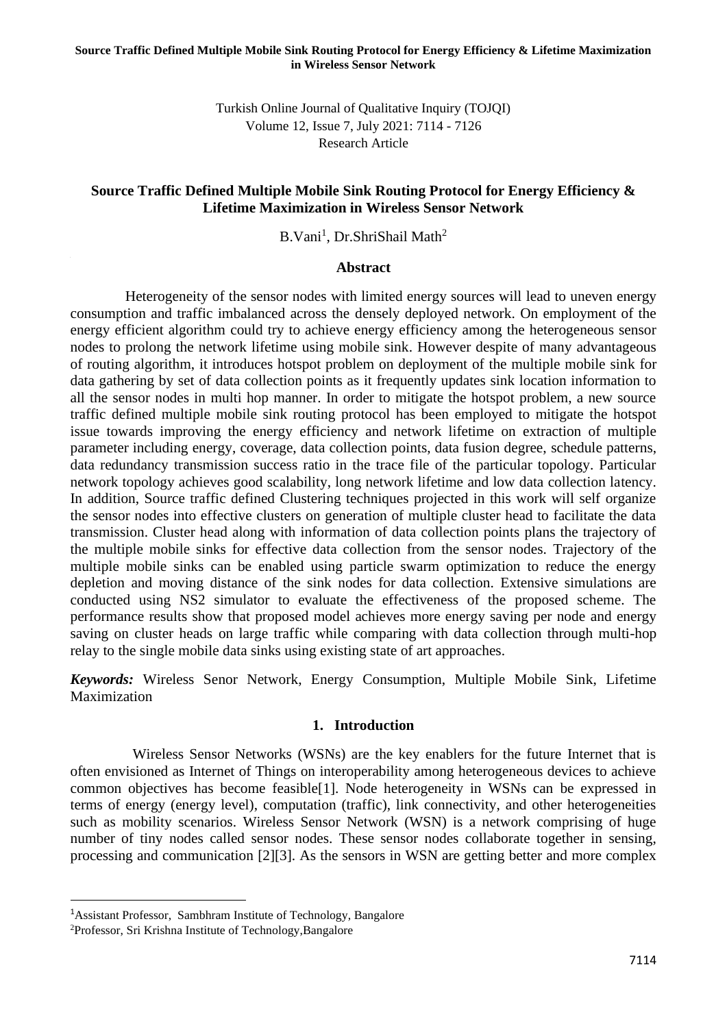Turkish Online Journal of Qualitative Inquiry (TOJQI) Volume 12, Issue 7, July 2021: 7114 - 7126 Research Article

#### **Source Traffic Defined Multiple Mobile Sink Routing Protocol for Energy Efficiency & Lifetime Maximization in Wireless Sensor Network**

B.Vani<sup>1</sup>, Dr.ShriShail Math<sup>2</sup>

#### **Abstract**

 Heterogeneity of the sensor nodes with limited energy sources will lead to uneven energy consumption and traffic imbalanced across the densely deployed network. On employment of the energy efficient algorithm could try to achieve energy efficiency among the heterogeneous sensor nodes to prolong the network lifetime using mobile sink. However despite of many advantageous of routing algorithm, it introduces hotspot problem on deployment of the multiple mobile sink for data gathering by set of data collection points as it frequently updates sink location information to all the sensor nodes in multi hop manner. In order to mitigate the hotspot problem, a new source traffic defined multiple mobile sink routing protocol has been employed to mitigate the hotspot issue towards improving the energy efficiency and network lifetime on extraction of multiple parameter including energy, coverage, data collection points, data fusion degree, schedule patterns, data redundancy transmission success ratio in the trace file of the particular topology. Particular network topology achieves good scalability, long network lifetime and low data collection latency. In addition, Source traffic defined Clustering techniques projected in this work will self organize the sensor nodes into effective clusters on generation of multiple cluster head to facilitate the data transmission. Cluster head along with information of data collection points plans the trajectory of the multiple mobile sinks for effective data collection from the sensor nodes. Trajectory of the multiple mobile sinks can be enabled using particle swarm optimization to reduce the energy depletion and moving distance of the sink nodes for data collection. Extensive simulations are conducted using NS2 simulator to evaluate the effectiveness of the proposed scheme. The performance results show that proposed model achieves more energy saving per node and energy saving on cluster heads on large traffic while comparing with data collection through multi-hop relay to the single mobile data sinks using existing state of art approaches.

*Keywords:* Wireless Senor Network, Energy Consumption, Multiple Mobile Sink, Lifetime Maximization

#### **1. Introduction**

Wireless Sensor Networks (WSNs) are the key enablers for the future Internet that is often envisioned as Internet of Things on interoperability among heterogeneous devices to achieve common objectives has become feasible[1]. Node heterogeneity in WSNs can be expressed in terms of energy (energy level), computation (traffic), link connectivity, and other heterogeneities such as mobility scenarios. Wireless Sensor Network (WSN) is a network comprising of huge number of tiny nodes called sensor nodes. These sensor nodes collaborate together in sensing, processing and communication [2][3]. As the sensors in WSN are getting better and more complex

<sup>1</sup>Assistant Professor, Sambhram Institute of Technology, Bangalore

<sup>2</sup>Professor, Sri Krishna Institute of Technology,Bangalore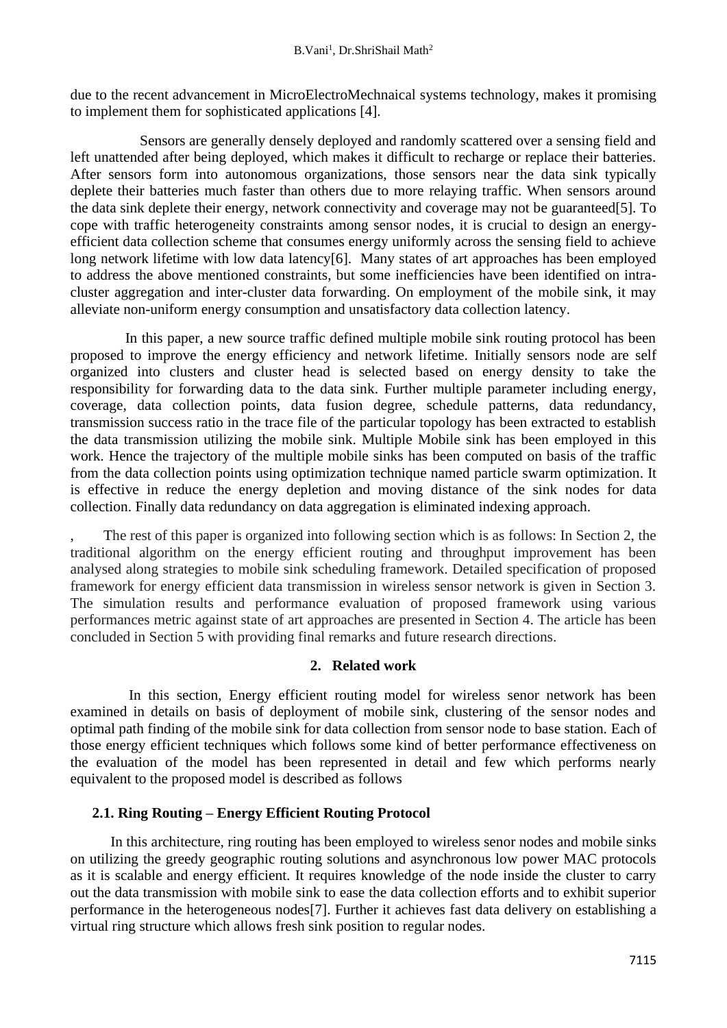due to the recent advancement in MicroElectroMechnaical systems technology, makes it promising to implement them for sophisticated applications [4].

 Sensors are generally densely deployed and randomly scattered over a sensing field and left unattended after being deployed, which makes it difficult to recharge or replace their batteries. After sensors form into autonomous organizations, those sensors near the data sink typically deplete their batteries much faster than others due to more relaying traffic. When sensors around the data sink deplete their energy, network connectivity and coverage may not be guaranteed[5]. To cope with traffic heterogeneity constraints among sensor nodes, it is crucial to design an energyefficient data collection scheme that consumes energy uniformly across the sensing field to achieve long network lifetime with low data latency[6]. Many states of art approaches has been employed to address the above mentioned constraints, but some inefficiencies have been identified on intracluster aggregation and inter-cluster data forwarding. On employment of the mobile sink, it may alleviate non-uniform energy consumption and unsatisfactory data collection latency.

 In this paper, a new source traffic defined multiple mobile sink routing protocol has been proposed to improve the energy efficiency and network lifetime. Initially sensors node are self organized into clusters and cluster head is selected based on energy density to take the responsibility for forwarding data to the data sink. Further multiple parameter including energy, coverage, data collection points, data fusion degree, schedule patterns, data redundancy, transmission success ratio in the trace file of the particular topology has been extracted to establish the data transmission utilizing the mobile sink. Multiple Mobile sink has been employed in this work. Hence the trajectory of the multiple mobile sinks has been computed on basis of the traffic from the data collection points using optimization technique named particle swarm optimization. It is effective in reduce the energy depletion and moving distance of the sink nodes for data collection. Finally data redundancy on data aggregation is eliminated indexing approach.

The rest of this paper is organized into following section which is as follows: In Section 2, the traditional algorithm on the energy efficient routing and throughput improvement has been analysed along strategies to mobile sink scheduling framework. Detailed specification of proposed framework for energy efficient data transmission in wireless sensor network is given in Section 3. The simulation results and performance evaluation of proposed framework using various performances metric against state of art approaches are presented in Section 4. The article has been concluded in Section 5 with providing final remarks and future research directions.

### **2. Related work**

In this section, Energy efficient routing model for wireless senor network has been examined in details on basis of deployment of mobile sink, clustering of the sensor nodes and optimal path finding of the mobile sink for data collection from sensor node to base station. Each of those energy efficient techniques which follows some kind of better performance effectiveness on the evaluation of the model has been represented in detail and few which performs nearly equivalent to the proposed model is described as follows

# **2.1. Ring Routing – Energy Efficient Routing Protocol**

 In this architecture, ring routing has been employed to wireless senor nodes and mobile sinks on utilizing the greedy geographic routing solutions and asynchronous low power MAC protocols as it is scalable and energy efficient. It requires knowledge of the node inside the cluster to carry out the data transmission with mobile sink to ease the data collection efforts and to exhibit superior performance in the heterogeneous nodes[7]. Further it achieves fast data delivery on establishing a virtual ring structure which allows fresh sink position to regular nodes.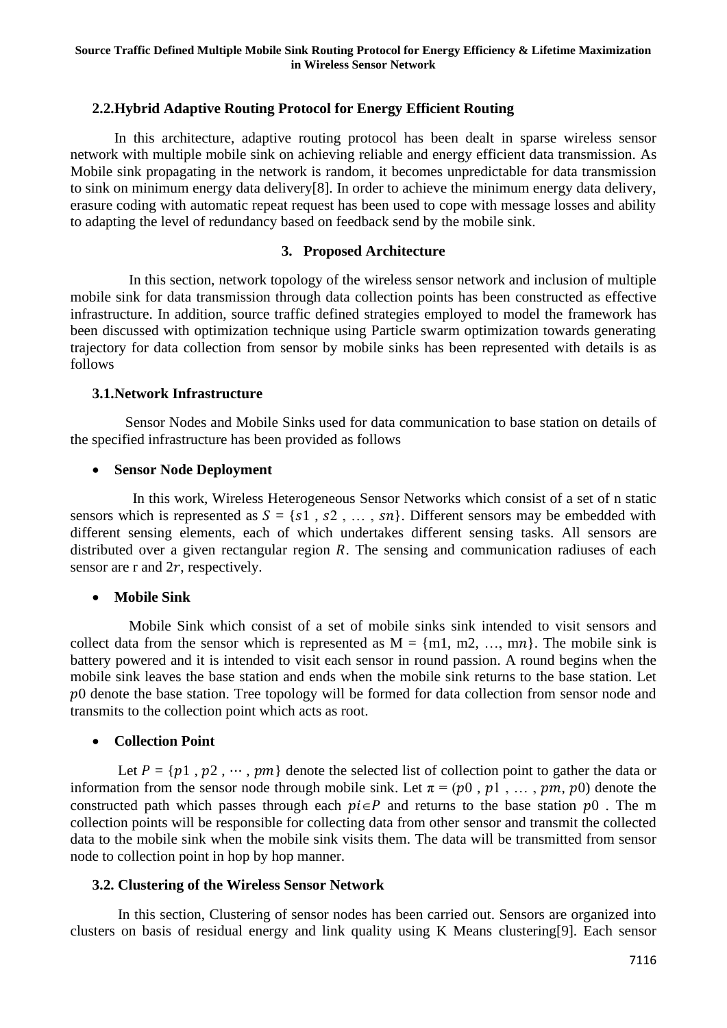## **2.2.Hybrid Adaptive Routing Protocol for Energy Efficient Routing**

 In this architecture, adaptive routing protocol has been dealt in sparse wireless sensor network with multiple mobile sink on achieving reliable and energy efficient data transmission. As Mobile sink propagating in the network is random, it becomes unpredictable for data transmission to sink on minimum energy data delivery[8]. In order to achieve the minimum energy data delivery, erasure coding with automatic repeat request has been used to cope with message losses and ability to adapting the level of redundancy based on feedback send by the mobile sink.

## **3. Proposed Architecture**

 In this section, network topology of the wireless sensor network and inclusion of multiple mobile sink for data transmission through data collection points has been constructed as effective infrastructure. In addition, source traffic defined strategies employed to model the framework has been discussed with optimization technique using Particle swarm optimization towards generating trajectory for data collection from sensor by mobile sinks has been represented with details is as follows

### **3.1.Network Infrastructure**

 Sensor Nodes and Mobile Sinks used for data communication to base station on details of the specified infrastructure has been provided as follows

#### • **Sensor Node Deployment**

 In this work, Wireless Heterogeneous Sensor Networks which consist of a set of n static sensors which is represented as  $S = \{s_1, s_2, \ldots, s_n\}$ . Different sensors may be embedded with different sensing elements, each of which undertakes different sensing tasks. All sensors are distributed over a given rectangular region  $R$ . The sensing and communication radiuses of each sensor are r and  $2r$ , respectively.

### • **Mobile Sink**

 Mobile Sink which consist of a set of mobile sinks sink intended to visit sensors and collect data from the sensor which is represented as  $M = \{m1, m2, ..., mn\}$ . The mobile sink is battery powered and it is intended to visit each sensor in round passion. A round begins when the mobile sink leaves the base station and ends when the mobile sink returns to the base station. Let  $p0$  denote the base station. Tree topology will be formed for data collection from sensor node and transmits to the collection point which acts as root.

### • **Collection Point**

Let  $P = \{p1, p2, \dots, pm\}$  denote the selected list of collection point to gather the data or information from the sensor node through mobile sink. Let  $\pi = (p0, p1, \dots, pm, p0)$  denote the constructed path which passes through each  $pi \in P$  and returns to the base station  $p0$ . The m collection points will be responsible for collecting data from other sensor and transmit the collected data to the mobile sink when the mobile sink visits them. The data will be transmitted from sensor node to collection point in hop by hop manner.

### **3.2. Clustering of the Wireless Sensor Network**

 In this section, Clustering of sensor nodes has been carried out. Sensors are organized into clusters on basis of residual energy and link quality using K Means clustering[9]. Each sensor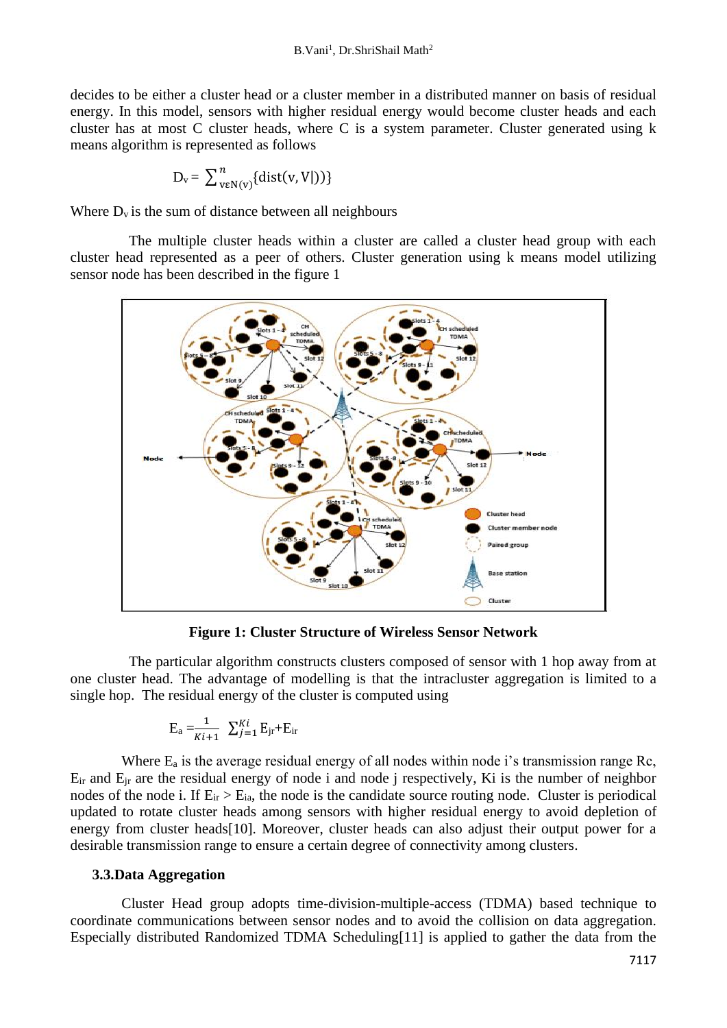decides to be either a cluster head or a cluster member in a distributed manner on basis of residual energy. In this model, sensors with higher residual energy would become cluster heads and each cluster has at most C cluster heads, where C is a system parameter. Cluster generated using k means algorithm is represented as follows

$$
\mathbf{D}_{\mathrm{v}}\mathbf{=}\ \sum\nolimits_{\mathrm{v}\in \mathrm{N}(\mathrm{v})}^{n}\{\mathrm{dist}(\mathrm{v},\mathrm{V}|\mathrm{)}\}
$$

Where  $D_v$  is the sum of distance between all neighbours

 The multiple cluster heads within a cluster are called a cluster head group with each cluster head represented as a peer of others. Cluster generation using k means model utilizing sensor node has been described in the figure 1



**Figure 1: Cluster Structure of Wireless Sensor Network**

 The particular algorithm constructs clusters composed of sensor with 1 hop away from at one cluster head. The advantage of modelling is that the intracluster aggregation is limited to a single hop. The residual energy of the cluster is computed using

$$
\mathbf{E}_{\rm a} = \frac{1}{Ki+1} \sum_{j=1}^{Ki} \mathbf{E}_{\rm jr} + \mathbf{E}_{\rm ir}
$$

Where  $E_a$  is the average residual energy of all nodes within node i's transmission range Rc,  $E_{ir}$  and  $E_{ir}$  are the residual energy of node i and node j respectively, Ki is the number of neighbor nodes of the node i. If  $E_{ir} > E_{ia}$ , the node is the candidate source routing node. Cluster is periodical updated to rotate cluster heads among sensors with higher residual energy to avoid depletion of energy from cluster heads[10]. Moreover, cluster heads can also adjust their output power for a desirable transmission range to ensure a certain degree of connectivity among clusters.

### **3.3.Data Aggregation**

 Cluster Head group adopts time-division-multiple-access (TDMA) based technique to coordinate communications between sensor nodes and to avoid the collision on data aggregation. Especially distributed Randomized TDMA Scheduling[11] is applied to gather the data from the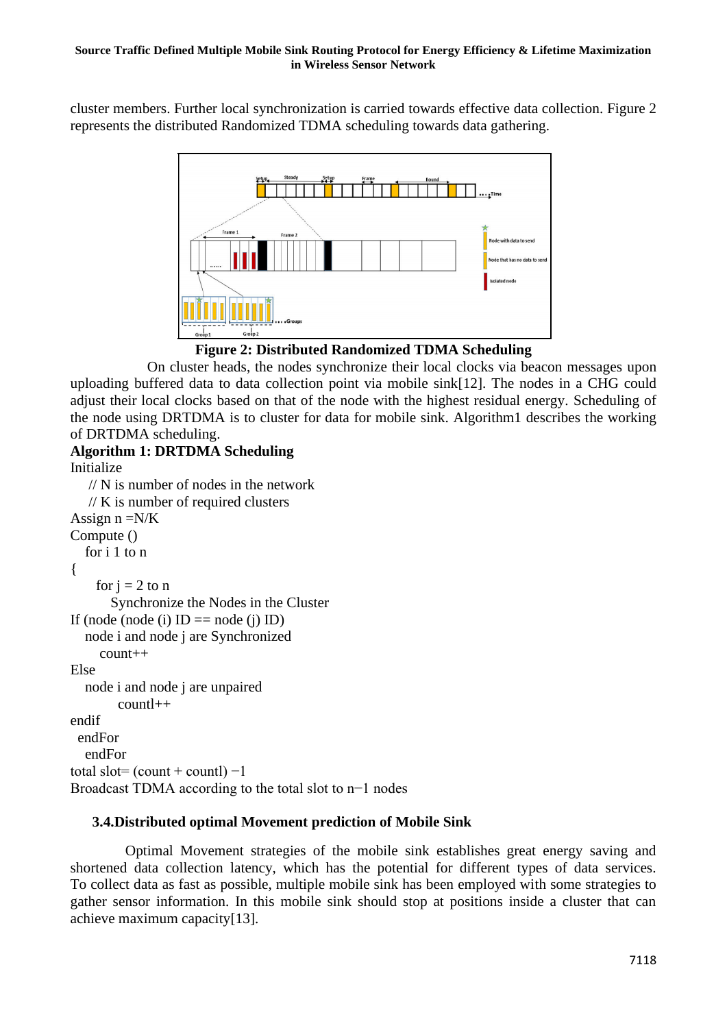#### **Source Traffic Defined Multiple Mobile Sink Routing Protocol for Energy Efficiency & Lifetime Maximization in Wireless Sensor Network**

cluster members. Further local synchronization is carried towards effective data collection. Figure 2 represents the distributed Randomized TDMA scheduling towards data gathering.



**Figure 2: Distributed Randomized TDMA Scheduling**

 On cluster heads, the nodes synchronize their local clocks via beacon messages upon uploading buffered data to data collection point via mobile sink[12]. The nodes in a CHG could adjust their local clocks based on that of the node with the highest residual energy. Scheduling of the node using DRTDMA is to cluster for data for mobile sink. Algorithm1 describes the working of DRTDMA scheduling.

#### **Algorithm 1: DRTDMA Scheduling**  Initialize

```
 // N is number of nodes in the network 
   // K is number of required clusters
Assign n = N/KCompute () 
   for i 1 to n 
{
    for i = 2 to n
        Synchronize the Nodes in the Cluster 
If (node (node (i) ID == node (i) ID)
   node i and node j are Synchronized 
      count++ 
Else 
   node i and node j are unpaired 
        countl++endif
  endFor 
   endFor 
total slot= \text{(count + count)} -1Broadcast TDMA according to the total slot to n−1 nodes
```
# **3.4.Distributed optimal Movement prediction of Mobile Sink**

 Optimal Movement strategies of the mobile sink establishes great energy saving and shortened data collection latency, which has the potential for different types of data services. To collect data as fast as possible, multiple mobile sink has been employed with some strategies to gather sensor information. In this mobile sink should stop at positions inside a cluster that can achieve maximum capacity[13].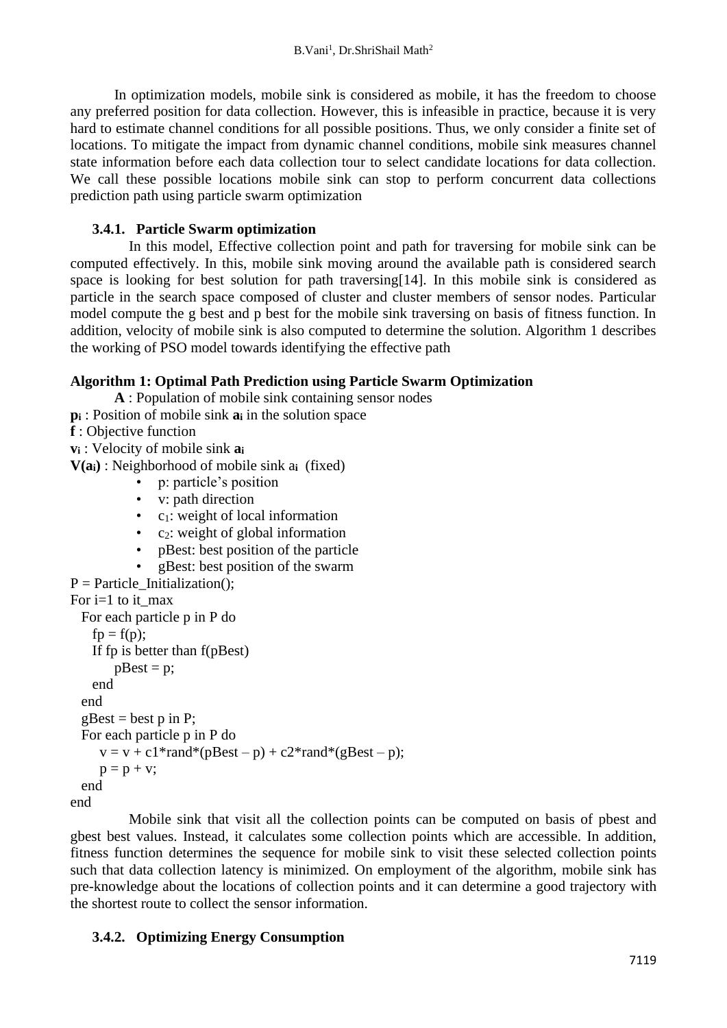In optimization models, mobile sink is considered as mobile, it has the freedom to choose any preferred position for data collection. However, this is infeasible in practice, because it is very hard to estimate channel conditions for all possible positions. Thus, we only consider a finite set of locations. To mitigate the impact from dynamic channel conditions, mobile sink measures channel state information before each data collection tour to select candidate locations for data collection. We call these possible locations mobile sink can stop to perform concurrent data collections prediction path using particle swarm optimization

## **3.4.1. Particle Swarm optimization**

 In this model, Effective collection point and path for traversing for mobile sink can be computed effectively. In this, mobile sink moving around the available path is considered search space is looking for best solution for path traversing[14]. In this mobile sink is considered as particle in the search space composed of cluster and cluster members of sensor nodes. Particular model compute the g best and p best for the mobile sink traversing on basis of fitness function. In addition, velocity of mobile sink is also computed to determine the solution. Algorithm 1 describes the working of PSO model towards identifying the effective path

## **Algorithm 1: Optimal Path Prediction using Particle Swarm Optimization**

**A** : Population of mobile sink containing sensor nodes **p<sup>i</sup>** : Position of mobile sink **a<sup>i</sup>** in the solution space **f** : Objective function

**v<sup>i</sup>** : Velocity of mobile sink **a<sup>i</sup>**

**V(ai)** : Neighborhood of mobile sink a**i** (fixed)

• p: particle's position

- v: path direction
- c<sub>1</sub>: weight of local information
- c2: weight of global information
- pBest: best position of the particle
- gBest: best position of the swarm

```
P = Particle Initialization();
```

```
For i=1 to it_max
```

```
 For each particle p in P do
   fp = f(p);
    If fp is better than f(pBest) 
       pBest = p;
    end
  end
 gBest = best p in P;
  For each particle p in P do
     v = v + c1*rand*(pBest - p) + c2*rand*(gBest - p);p = p + v;
  end
end
```
 Mobile sink that visit all the collection points can be computed on basis of pbest and gbest best values. Instead, it calculates some collection points which are accessible. In addition, fitness function determines the sequence for mobile sink to visit these selected collection points such that data collection latency is minimized. On employment of the algorithm, mobile sink has pre-knowledge about the locations of collection points and it can determine a good trajectory with the shortest route to collect the sensor information.

### **3.4.2. Optimizing Energy Consumption**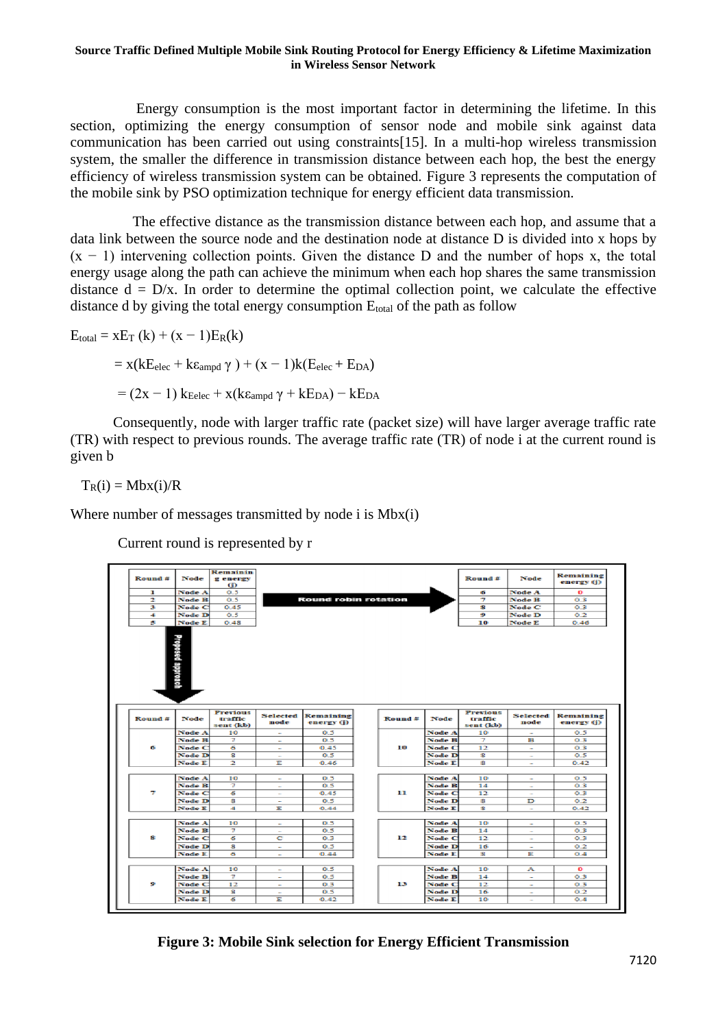#### **Source Traffic Defined Multiple Mobile Sink Routing Protocol for Energy Efficiency & Lifetime Maximization in Wireless Sensor Network**

 Energy consumption is the most important factor in determining the lifetime. In this section, optimizing the energy consumption of sensor node and mobile sink against data communication has been carried out using constraints[15]. In a multi-hop wireless transmission system, the smaller the difference in transmission distance between each hop, the best the energy efficiency of wireless transmission system can be obtained. Figure 3 represents the computation of the mobile sink by PSO optimization technique for energy efficient data transmission.

 The effective distance as the transmission distance between each hop, and assume that a data link between the source node and the destination node at distance D is divided into x hops by  $(x - 1)$  intervening collection points. Given the distance D and the number of hops x, the total energy usage along the path can achieve the minimum when each hop shares the same transmission distance  $d = D/x$ . In order to determine the optimal collection point, we calculate the effective distance d by giving the total energy consumption E<sub>total</sub> of the path as follow

$$
E_{\text{total}} = xE_{T} (k) + (x - 1)E_{R}(k)
$$
  
= x(kE<sub>elec</sub> + k $\epsilon_{\text{ampd}}$   $\gamma$ ) + (x - 1)k(E<sub>elec</sub> + E<sub>DA</sub>)  
= (2x - 1) k<sub>eelec</sub> + x(k $\epsilon_{\text{ampd}}$   $\gamma$  + kE<sub>DA</sub>) - kE<sub>DA</sub>

 Consequently, node with larger traffic rate (packet size) will have larger average traffic rate (TR) with respect to previous rounds. The average traffic rate (TR) of node i at the current round is given b

 $T_R(i) = Mbx(i)/R$ 

Where number of messages transmitted by node i is  $Mbx(i)$ 

Current round is represented by r



**Figure 3: Mobile Sink selection for Energy Efficient Transmission**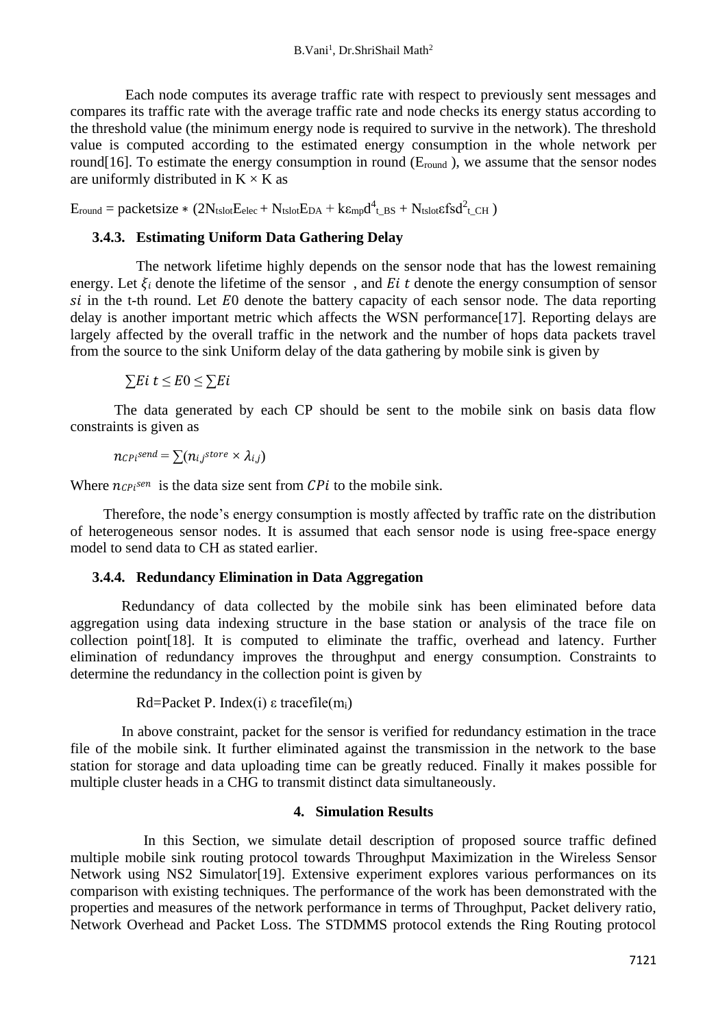Each node computes its average traffic rate with respect to previously sent messages and compares its traffic rate with the average traffic rate and node checks its energy status according to the threshold value (the minimum energy node is required to survive in the network). The threshold value is computed according to the estimated energy consumption in the whole network per round[16]. To estimate the energy consumption in round ( $E_{round}$ ), we assume that the sensor nodes are uniformly distributed in  $K \times K$  as

 $E_{round} = packetsize * (2N_{tslot}E_{elec} + N_{tslot}E_{DA} + k\epsilon_{mp}d^4_{t_BBS} + N_{tslot}\epsilon fsd^2_{t_CCH})$ 

## **3.4.3. Estimating Uniform Data Gathering Delay**

The network lifetime highly depends on the sensor node that has the lowest remaining energy. Let  $\xi_i$  denote the lifetime of the sensor, and Ei t denote the energy consumption of sensor  $si$  in the t-th round. Let  $E_0$  denote the battery capacity of each sensor node. The data reporting delay is another important metric which affects the WSN performance<sup>[17]</sup>. Reporting delays are largely affected by the overall traffic in the network and the number of hops data packets travel from the source to the sink Uniform delay of the data gathering by mobile sink is given by

 $\sum E i \ t \leq E 0 \leq \sum E i$ 

 The data generated by each CP should be sent to the mobile sink on basis data flow constraints is given as

$$
n_{CPi}^{send} = \sum (n_{i,j}^{store} \times \lambda_{i,j})
$$

Where  $n_{\text{CPi}}$ <sup>sen</sup> is the data size sent from  $\text{CPi}$  to the mobile sink.

 Therefore, the node's energy consumption is mostly affected by traffic rate on the distribution of heterogeneous sensor nodes. It is assumed that each sensor node is using free-space energy model to send data to CH as stated earlier.

### **3.4.4. Redundancy Elimination in Data Aggregation**

 Redundancy of data collected by the mobile sink has been eliminated before data aggregation using data indexing structure in the base station or analysis of the trace file on collection point[18]. It is computed to eliminate the traffic, overhead and latency. Further elimination of redundancy improves the throughput and energy consumption. Constraints to determine the redundancy in the collection point is given by

```
Rd=Packet P. Index(i) \varepsilon tracefile(m<sub>i</sub>)
```
 In above constraint, packet for the sensor is verified for redundancy estimation in the trace file of the mobile sink. It further eliminated against the transmission in the network to the base station for storage and data uploading time can be greatly reduced. Finally it makes possible for multiple cluster heads in a CHG to transmit distinct data simultaneously.

## **4. Simulation Results**

 In this Section, we simulate detail description of proposed source traffic defined multiple mobile sink routing protocol towards Throughput Maximization in the Wireless Sensor Network using NS2 Simulator[19]. Extensive experiment explores various performances on its comparison with existing techniques. The performance of the work has been demonstrated with the properties and measures of the network performance in terms of Throughput, Packet delivery ratio, Network Overhead and Packet Loss. The STDMMS protocol extends the Ring Routing protocol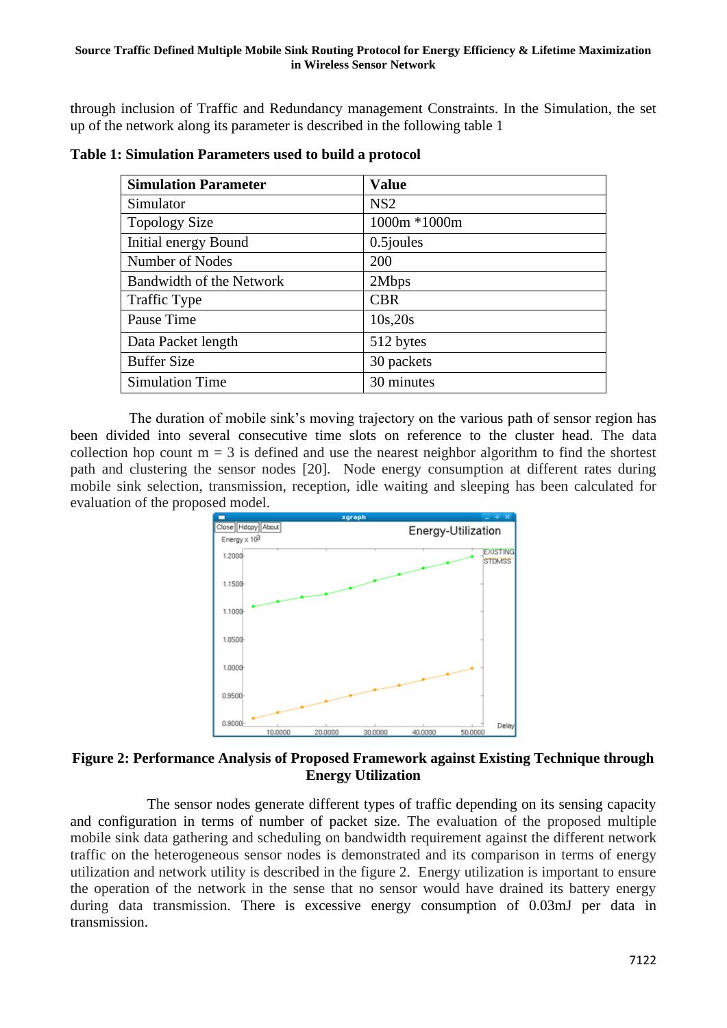through inclusion of Traffic and Redundancy management Constraints. In the Simulation, the set up of the network along its parameter is described in the following table 1

| <b>Simulation Parameter</b> | <b>Value</b> |
|-----------------------------|--------------|
| Simulator                   | NS2          |
| <b>Topology Size</b>        | 1000m *1000m |
| Initial energy Bound        | 0.5 joules   |
| Number of Nodes             | 200          |
| Bandwidth of the Network    | 2Mbps        |
| <b>Traffic Type</b>         | <b>CBR</b>   |
| Pause Time                  | 10s,20s      |
| Data Packet length          | 512 bytes    |
| <b>Buffer Size</b>          | 30 packets   |
| <b>Simulation Time</b>      | 30 minutes   |

**Table 1: Simulation Parameters used to build a protocol**

 The duration of mobile sink's moving trajectory on the various path of sensor region has been divided into several consecutive time slots on reference to the cluster head. The data collection hop count  $m = 3$  is defined and use the nearest neighbor algorithm to find the shortest path and clustering the sensor nodes [20]. Node energy consumption at different rates during mobile sink selection, transmission, reception, idle waiting and sleeping has been calculated for evaluation of the proposed model.



## **Figure 2: Performance Analysis of Proposed Framework against Existing Technique through Energy Utilization**

 The sensor nodes generate different types of traffic depending on its sensing capacity and configuration in terms of number of packet size. The evaluation of the proposed multiple mobile sink data gathering and scheduling on bandwidth requirement against the different network traffic on the heterogeneous sensor nodes is demonstrated and its comparison in terms of energy utilization and network utility is described in the figure 2. Energy utilization is important to ensure the operation of the network in the sense that no sensor would have drained its battery energy during data transmission. There is excessive energy consumption of 0.03mJ per data in transmission.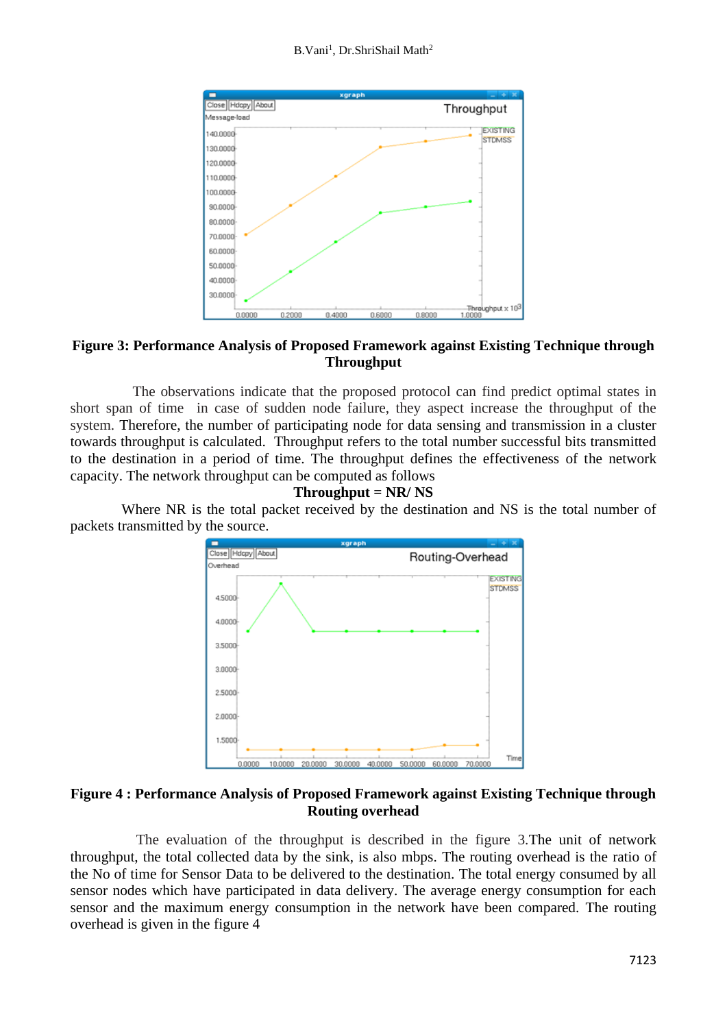#### B.Vani<sup>1</sup>, Dr.ShriShail Math<sup>2</sup>



## **Figure 3: Performance Analysis of Proposed Framework against Existing Technique through Throughput**

 The observations indicate that the proposed protocol can find predict optimal states in short span of time in case of sudden node failure, they aspect increase the throughput of the system. Therefore, the number of participating node for data sensing and transmission in a cluster towards throughput is calculated. Throughput refers to the total number successful bits transmitted to the destination in a period of time. The throughput defines the effectiveness of the network capacity. The network throughput can be computed as follows

#### **Throughput = NR/ NS**

 Where NR is the total packet received by the destination and NS is the total number of packets transmitted by the source.



### **Figure 4 : Performance Analysis of Proposed Framework against Existing Technique through Routing overhead**

 The evaluation of the throughput is described in the figure 3.The unit of network throughput, the total collected data by the sink, is also mbps. The routing overhead is the ratio of the No of time for Sensor Data to be delivered to the destination. The total energy consumed by all sensor nodes which have participated in data delivery. The average energy consumption for each sensor and the maximum energy consumption in the network have been compared. The routing overhead is given in the figure 4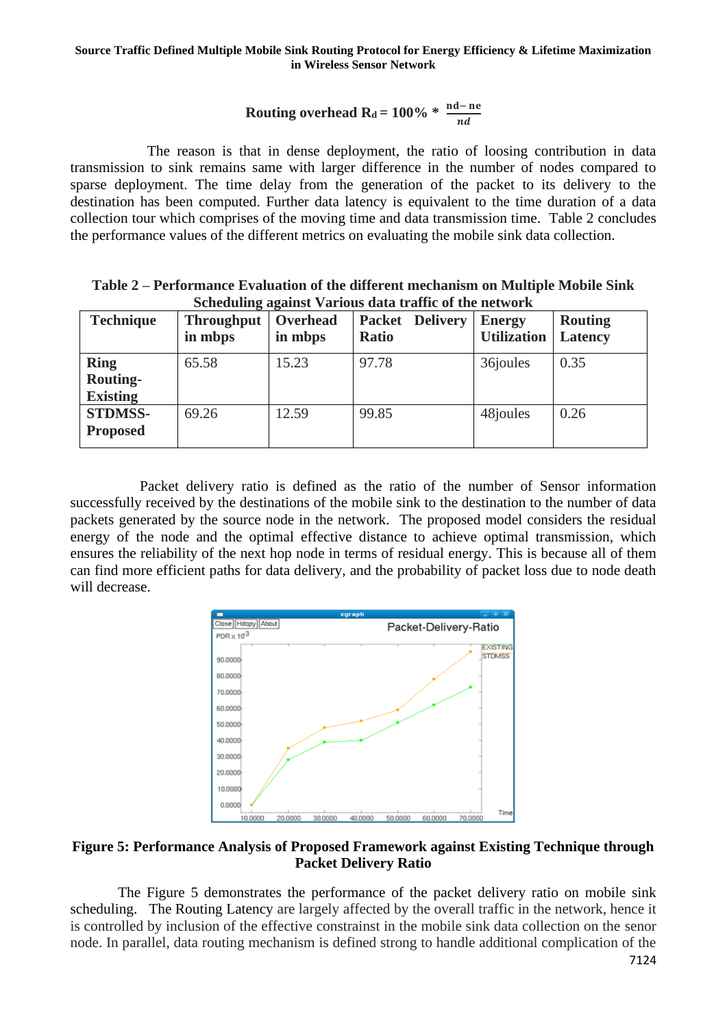# **Routing overhead Rd** = 100% \*  $\frac{nd - ne}{nd}$

 The reason is that in dense deployment, the ratio of loosing contribution in data transmission to sink remains same with larger difference in the number of nodes compared to sparse deployment. The time delay from the generation of the packet to its delivery to the destination has been computed. Further data latency is equivalent to the time duration of a data collection tour which comprises of the moving time and data transmission time. Table 2 concludes the performance values of the different metrics on evaluating the mobile sink data collection.

**Table 2 – Performance Evaluation of the different mechanism on Multiple Mobile Sink Scheduling against Various data traffic of the network**

| <b>Technique</b>                                  | <b>Throughput</b><br>in mbps | Overhead<br>in mbps | <b>Packet Delivery</b><br><b>Ratio</b> | <b>Energy</b><br><b>Utilization</b> | <b>Routing</b><br>Latency |
|---------------------------------------------------|------------------------------|---------------------|----------------------------------------|-------------------------------------|---------------------------|
| <b>Ring</b><br><b>Routing-</b><br><b>Existing</b> | 65.58                        | 15.23               | 97.78                                  | 36joules                            | 0.35                      |
| <b>STDMSS-</b><br><b>Proposed</b>                 | 69.26                        | 12.59               | 99.85                                  | 48 joules                           | 0.26                      |

 Packet delivery ratio is defined as the ratio of the number of Sensor information successfully received by the destinations of the mobile sink to the destination to the number of data packets generated by the source node in the network. The proposed model considers the residual energy of the node and the optimal effective distance to achieve optimal transmission, which ensures the reliability of the next hop node in terms of residual energy. This is because all of them can find more efficient paths for data delivery, and the probability of packet loss due to node death will decrease.



### **Figure 5: Performance Analysis of Proposed Framework against Existing Technique through Packet Delivery Ratio**

 The Figure 5 demonstrates the performance of the packet delivery ratio on mobile sink scheduling. The Routing Latency are largely affected by the overall traffic in the network, hence it is controlled by inclusion of the effective constrainst in the mobile sink data collection on the senor node. In parallel, data routing mechanism is defined strong to handle additional complication of the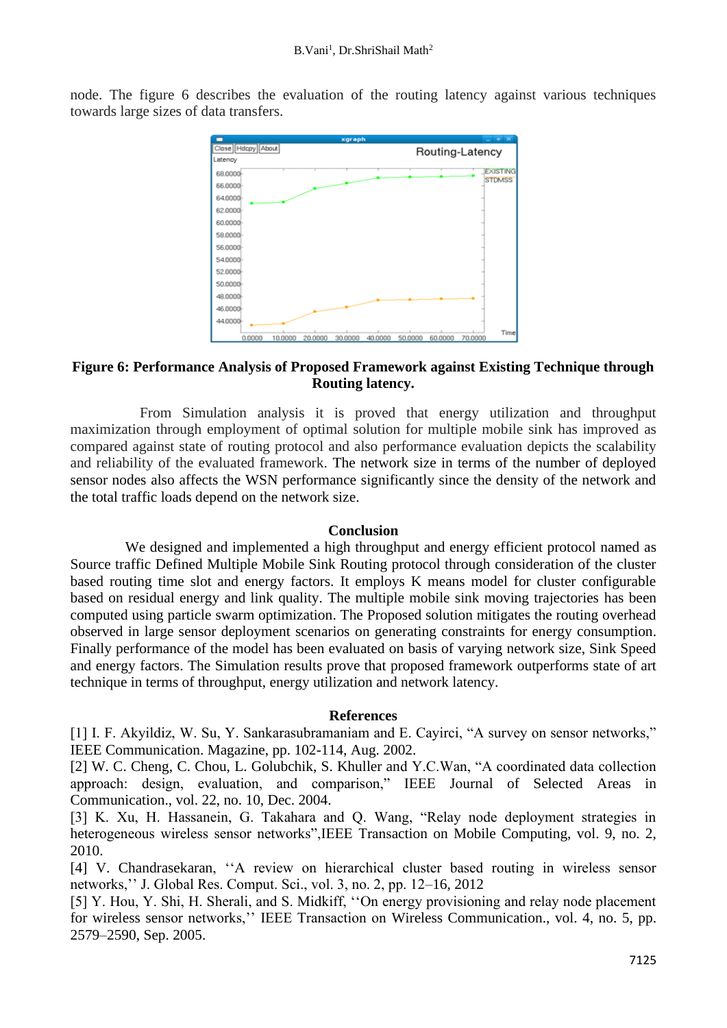node. The figure 6 describes the evaluation of the routing latency against various techniques towards large sizes of data transfers.



## **Figure 6: Performance Analysis of Proposed Framework against Existing Technique through Routing latency.**

 From Simulation analysis it is proved that energy utilization and throughput maximization through employment of optimal solution for multiple mobile sink has improved as compared against state of routing protocol and also performance evaluation depicts the scalability and reliability of the evaluated framework. The network size in terms of the number of deployed sensor nodes also affects the WSN performance significantly since the density of the network and the total traffic loads depend on the network size.

#### **Conclusion**

 We designed and implemented a high throughput and energy efficient protocol named as Source traffic Defined Multiple Mobile Sink Routing protocol through consideration of the cluster based routing time slot and energy factors. It employs K means model for cluster configurable based on residual energy and link quality. The multiple mobile sink moving trajectories has been computed using particle swarm optimization. The Proposed solution mitigates the routing overhead observed in large sensor deployment scenarios on generating constraints for energy consumption. Finally performance of the model has been evaluated on basis of varying network size, Sink Speed and energy factors. The Simulation results prove that proposed framework outperforms state of art technique in terms of throughput, energy utilization and network latency.

#### **References**

[1] I. F. Akyildiz, W. Su, Y. Sankarasubramaniam and E. Cayirci, "A survey on sensor networks," IEEE Communication. Magazine, pp. 102-114, Aug. 2002.

[2] W. C. Cheng, C. Chou, L. Golubchik, S. Khuller and Y.C.Wan, "A coordinated data collection approach: design, evaluation, and comparison," IEEE Journal of Selected Areas in Communication., vol. 22, no. 10, Dec. 2004.

[3] K. Xu, H. Hassanein, G. Takahara and Q. Wang, "Relay node deployment strategies in heterogeneous wireless sensor networks",IEEE Transaction on Mobile Computing, vol. 9, no. 2, 2010.

[4] V. Chandrasekaran, ''A review on hierarchical cluster based routing in wireless sensor networks,'' J. Global Res. Comput. Sci., vol. 3, no. 2, pp. 12–16, 2012

[5] Y. Hou, Y. Shi, H. Sherali, and S. Midkiff, ''On energy provisioning and relay node placement for wireless sensor networks,'' IEEE Transaction on Wireless Communication., vol. 4, no. 5, pp. 2579–2590, Sep. 2005.